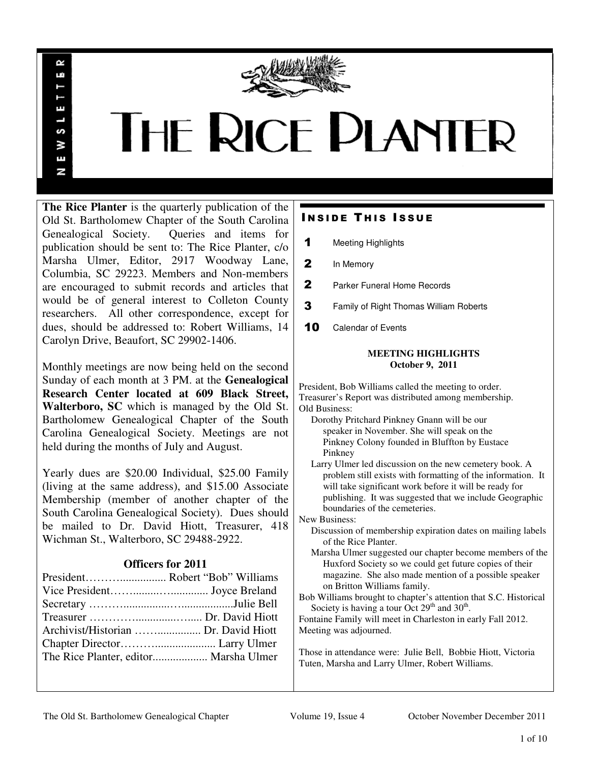

# **THE RICE PLANTER**

**The Rice Planter** is the quarterly publication of the Old St. Bartholomew Chapter of the South Carolina Genealogical Society. Queries and items for publication should be sent to: The Rice Planter, c/o Marsha Ulmer, Editor, 2917 Woodway Lane, Columbia, SC 29223. Members and Non-members are encouraged to submit records and articles that would be of general interest to Colleton County researchers. All other correspondence, except for dues, should be addressed to: Robert Williams, 14 Carolyn Drive, Beaufort, SC 29902-1406.

 $\sim$ uń

ш

S š E N

Monthly meetings are now being held on the second Sunday of each month at 3 PM. at the **Genealogical Research Center located at 609 Black Street, Walterboro, SC** which is managed by the Old St. Bartholomew Genealogical Chapter of the South Carolina Genealogical Society. Meetings are not held during the months of July and August.

Yearly dues are \$20.00 Individual, \$25.00 Family (living at the same address), and \$15.00 Associate Membership (member of another chapter of the South Carolina Genealogical Society). Dues should be mailed to Dr. David Hiott, Treasurer, 418 Wichman St., Walterboro, SC 29488-2922.

## **Officers for 2011**

| Archivist/Historian  Dr. David Hiott  |  |
|---------------------------------------|--|
|                                       |  |
| The Rice Planter, editor Marsha Ulmer |  |

# **INSIDE THIS ISSUE**

- 1 Meeting Highlights
- 2 In Memory
- 2 Parker Funeral Home Records
- **3** Family of Right Thomas William Roberts
- 10 Calendar of Events

#### **MEETING HIGHLIGHTS October 9, 2011**

President, Bob Williams called the meeting to order. Treasurer's Report was distributed among membership. Old Business: Dorothy Pritchard Pinkney Gnann will be our

- speaker in November. She will speak on the Pinkney Colony founded in Bluffton by Eustace Pinkney
- Larry Ulmer led discussion on the new cemetery book. A problem still exists with formatting of the information. It will take significant work before it will be ready for publishing. It was suggested that we include Geographic boundaries of the cemeteries.

New Business:

- Discussion of membership expiration dates on mailing labels of the Rice Planter.
- Marsha Ulmer suggested our chapter become members of the Huxford Society so we could get future copies of their magazine. She also made mention of a possible speaker on Britton Williams family.

Bob Williams brought to chapter's attention that S.C. Historical Society is having a tour Oct  $29<sup>th</sup>$  and  $30<sup>th</sup>$ .

Fontaine Family will meet in Charleston in early Fall 2012. Meeting was adjourned.

Those in attendance were: Julie Bell, Bobbie Hiott, Victoria Tuten, Marsha and Larry Ulmer, Robert Williams.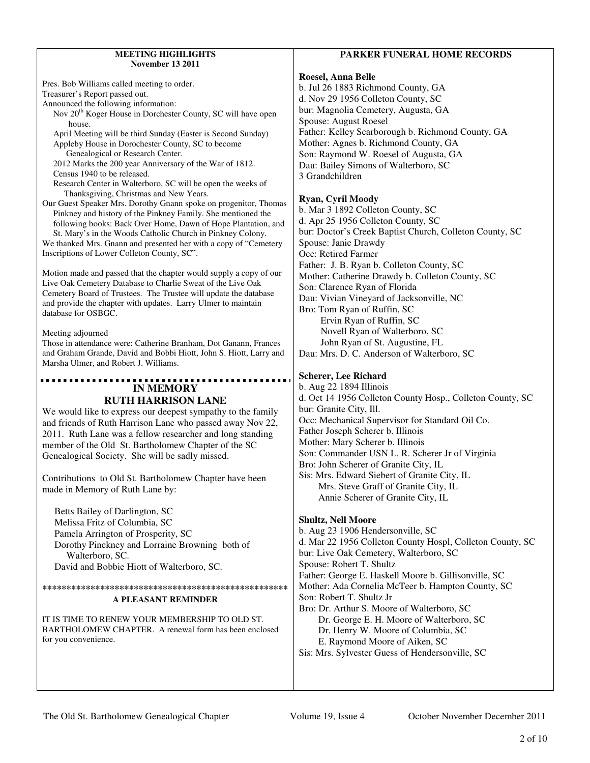#### **MEETING HIGHLIGHTS November 13 2011**

| <b>November 13 2011</b>                                                                                                                                                         |                                                                                                           |
|---------------------------------------------------------------------------------------------------------------------------------------------------------------------------------|-----------------------------------------------------------------------------------------------------------|
| Pres. Bob Williams called meeting to order.<br>Treasurer's Report passed out.<br>Announced the following information:                                                           | Roesel, Anna Belle<br>b. Jul 26 1883 Richmond County, GA<br>d. Nov 29 1956 Colleton County, SC            |
| Nov 20 <sup>th</sup> Koger House in Dorchester County, SC will have open<br>house.                                                                                              | bur: Magnolia Cemetery, Augusta, GA<br>Spouse: August Roesel                                              |
| April Meeting will be third Sunday (Easter is Second Sunday)                                                                                                                    | Father: Kelley Scarborough b. Richmond County, GA                                                         |
| Appleby House in Dorochester County, SC to become<br>Genealogical or Research Center.                                                                                           | Mother: Agnes b. Richmond County, GA<br>Son: Raymond W. Roesel of Augusta, GA                             |
| 2012 Marks the 200 year Anniversary of the War of 1812.<br>Census 1940 to be released.                                                                                          | Dau: Bailey Simons of Walterboro, SC<br>3 Grandchildren                                                   |
| Research Center in Walterboro, SC will be open the weeks of                                                                                                                     |                                                                                                           |
| Thanksgiving, Christmas and New Years.<br>Our Guest Speaker Mrs. Dorothy Gnann spoke on progenitor, Thomas                                                                      | Ryan, Cyril Moody                                                                                         |
| Pinkney and history of the Pinkney Family. She mentioned the<br>following books: Back Over Home, Dawn of Hope Plantation, and                                                   | b. Mar 3 1892 Colleton County, SC<br>d. Apr 25 1956 Colleton County, SC                                   |
| St. Mary's in the Woods Catholic Church in Pinkney Colony.                                                                                                                      | bur: Doctor's Creek Baptist Church, Colleton County, SC                                                   |
| We thanked Mrs. Gnann and presented her with a copy of "Cemetery<br>Inscriptions of Lower Colleton County, SC".                                                                 | Spouse: Janie Drawdy<br>Occ: Retired Farmer                                                               |
| Motion made and passed that the chapter would supply a copy of our                                                                                                              | Father: J. B. Ryan b. Colleton County, SC                                                                 |
| Live Oak Cemetery Database to Charlie Sweat of the Live Oak                                                                                                                     | Mother: Catherine Drawdy b. Colleton County, SC<br>Son: Clarence Ryan of Florida                          |
| Cemetery Board of Trustees. The Trustee will update the database<br>and provide the chapter with updates. Larry Ulmer to maintain                                               | Dau: Vivian Vineyard of Jacksonville, NC                                                                  |
| database for OSBGC.                                                                                                                                                             | Bro: Tom Ryan of Ruffin, SC<br>Ervin Ryan of Ruffin, SC                                                   |
| Meeting adjourned                                                                                                                                                               | Novell Ryan of Walterboro, SC                                                                             |
| Those in attendance were: Catherine Branham, Dot Ganann, Frances<br>and Graham Grande, David and Bobbi Hiott, John S. Hiott, Larry and<br>Marsha Ulmer, and Robert J. Williams. | John Ryan of St. Augustine, FL<br>Dau: Mrs. D. C. Anderson of Walterboro, SC                              |
|                                                                                                                                                                                 | <b>Scherer, Lee Richard</b>                                                                               |
| <b>IN MEMORY</b><br><b>RUTH HARRISON LANE</b>                                                                                                                                   | b. Aug 22 1894 Illinois<br>d. Oct 14 1956 Colleton County Hosp., Colleton County, SC                      |
| We would like to express our deepest sympathy to the family                                                                                                                     | bur: Granite City, Ill.                                                                                   |
| and friends of Ruth Harrison Lane who passed away Nov 22,                                                                                                                       | Occ: Mechanical Supervisor for Standard Oil Co.<br>Father Joseph Scherer b. Illinois                      |
| 2011. Ruth Lane was a fellow researcher and long standing<br>member of the Old St. Bartholomew Chapter of the SC                                                                | Mother: Mary Scherer b. Illinois                                                                          |
| Genealogical Society. She will be sadly missed.                                                                                                                                 | Son: Commander USN L. R. Scherer Jr of Virginia<br>Bro: John Scherer of Granite City, IL                  |
| Contributions to Old St. Bartholomew Chapter have been                                                                                                                          | Sis: Mrs. Edward Siebert of Granite City, IL                                                              |
| made in Memory of Ruth Lane by:                                                                                                                                                 | Mrs. Steve Graff of Granite City, IL<br>Annie Scherer of Granite City, IL                                 |
| Betts Bailey of Darlington, SC<br>Melissa Fritz of Columbia, SC                                                                                                                 | <b>Shultz, Nell Moore</b>                                                                                 |
| Pamela Arrington of Prosperity, SC                                                                                                                                              | b. Aug 23 1906 Hendersonville, SC                                                                         |
| Dorothy Pinckney and Lorraine Browning both of<br>Walterboro, SC.                                                                                                               | d. Mar 22 1956 Colleton County Hospl, Colleton County, SC<br>bur: Live Oak Cemetery, Walterboro, SC       |
| David and Bobbie Hiott of Walterboro, SC.                                                                                                                                       | Spouse: Robert T. Shultz                                                                                  |
|                                                                                                                                                                                 | Father: George E. Haskell Moore b. Gillisonville, SC<br>Mother: Ada Cornelia McTeer b. Hampton County, SC |
| A PLEASANT REMINDER                                                                                                                                                             | Son: Robert T. Shultz Jr                                                                                  |
| IT IS TIME TO RENEW YOUR MEMBERSHIP TO OLD ST.                                                                                                                                  | Bro: Dr. Arthur S. Moore of Walterboro, SC<br>Dr. George E. H. Moore of Walterboro, SC                    |
| BARTHOLOMEW CHAPTER. A renewal form has been enclosed                                                                                                                           | Dr. Henry W. Moore of Columbia, SC                                                                        |

 Dr. Henry W. Moore of Columbia, SC E. Raymond Moore of Aiken, SC

Sis: Mrs. Sylvester Guess of Hendersonville, SC

for you convenience.

### **PARKER FUNERAL HOME RECORDS**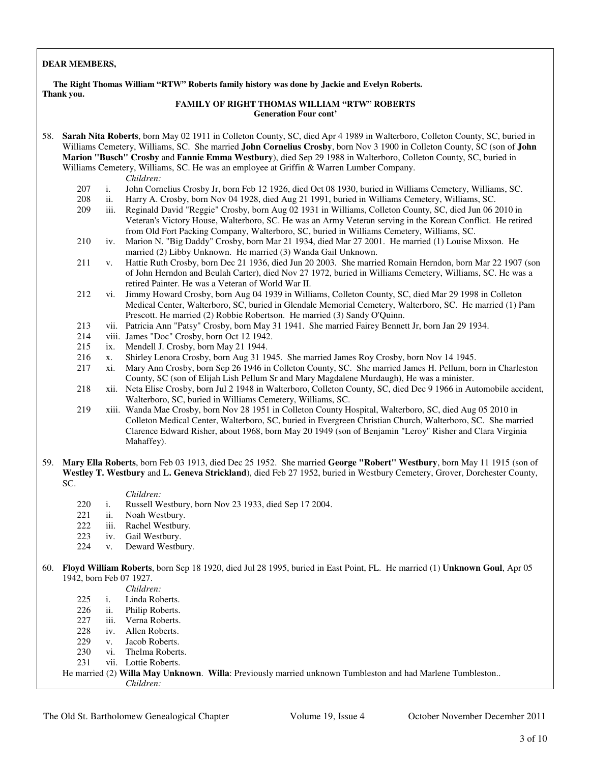#### **DEAR MEMBERS,**

 **The Right Thomas William "RTW" Roberts family history was done by Jackie and Evelyn Roberts. Thank you.** 

#### **FAMILY OF RIGHT THOMAS WILLIAM "RTW" ROBERTS Generation Four cont'**

58. **Sarah Nita Roberts**, born May 02 1911 in Colleton County, SC, died Apr 4 1989 in Walterboro, Colleton County, SC, buried in Williams Cemetery, Williams, SC. She married **John Cornelius Crosby**, born Nov 3 1900 in Colleton County, SC (son of **John Marion "Busch" Crosby** and **Fannie Emma Westbury**), died Sep 29 1988 in Walterboro, Colleton County, SC, buried in Williams Cemetery, Williams, SC. He was an employee at Griffin & Warren Lumber Company.

*Children:*

- 207 i. John Cornelius Crosby Jr, born Feb 12 1926, died Oct 08 1930, buried in Williams Cemetery, Williams, SC.
- 208 ii. Harry A. Crosby, born Nov 04 1928, died Aug 21 1991, buried in Williams Cemetery, Williams, SC.
- iii. Reginald David "Reggie" Crosby, born Aug 02 1931 in Williams, Colleton County, SC, died Jun 06 2010 in Veteran's Victory House, Walterboro, SC. He was an Army Veteran serving in the Korean Conflict. He retired from Old Fort Packing Company, Walterboro, SC, buried in Williams Cemetery, Williams, SC.
- 210 iv. Marion N. "Big Daddy" Crosby, born Mar 21 1934, died Mar 27 2001. He married (1) Louise Mixson. He married (2) Libby Unknown. He married (3) Wanda Gail Unknown.
- 211 v. Hattie Ruth Crosby, born Dec 21 1936, died Jun 20 2003. She married Romain Herndon, born Mar 22 1907 (son of John Herndon and Beulah Carter), died Nov 27 1972, buried in Williams Cemetery, Williams, SC. He was a retired Painter. He was a Veteran of World War II.
- 212 vi. Jimmy Howard Crosby, born Aug 04 1939 in Williams, Colleton County, SC, died Mar 29 1998 in Colleton Medical Center, Walterboro, SC, buried in Glendale Memorial Cemetery, Walterboro, SC. He married (1) Pam Prescott. He married (2) Robbie Robertson. He married (3) Sandy O'Quinn.
- 213 vii. Patricia Ann "Patsy" Crosby, born May 31 1941. She married Fairey Bennett Jr, born Jan 29 1934.
- 214 viii. James "Doc" Crosby, born Oct 12 1942.
- 215 ix. Mendell J. Crosby, born May 21 1944.
- 216 x. Shirley Lenora Crosby, born Aug 31 1945. She married James Roy Crosby, born Nov 14 1945.
- 217 xi. Mary Ann Crosby, born Sep 26 1946 in Colleton County, SC. She married James H. Pellum, born in Charleston County, SC (son of Elijah Lish Pellum Sr and Mary Magdalene Murdaugh), He was a minister.
- 218 xii. Neta Elise Crosby, born Jul 2 1948 in Walterboro, Colleton County, SC, died Dec 9 1966 in Automobile accident, Walterboro, SC, buried in Williams Cemetery, Williams, SC.

 219 xiii. Wanda Mae Crosby, born Nov 28 1951 in Colleton County Hospital, Walterboro, SC, died Aug 05 2010 in Colleton Medical Center, Walterboro, SC, buried in Evergreen Christian Church, Walterboro, SC. She married Clarence Edward Risher, about 1968, born May 20 1949 (son of Benjamin "Leroy" Risher and Clara Virginia Mahaffey).

59. **Mary Ella Roberts**, born Feb 03 1913, died Dec 25 1952. She married **George "Robert" Westbury**, born May 11 1915 (son of **Westley T. Westbury** and **L. Geneva Strickland**), died Feb 27 1952, buried in Westbury Cemetery, Grover, Dorchester County, SC.

*Children:*

- 220 i. Russell Westbury, born Nov 23 1933, died Sep 17 2004.<br>221 ii. Noah Westbury.
- 221 ii. Noah Westbury.<br>222 iii. Rachel Westbury.
- iii. Rachel Westbury.
- 223 iv. Gail Westbury.
- 224 v. Deward Westbury.
- 60. **Floyd William Roberts**, born Sep 18 1920, died Jul 28 1995, buried in East Point, FL. He married (1) **Unknown Goul**, Apr 05 1942, born Feb 07 1927.

- 225 i. Linda Roberts.<br>226 ii. Philip Roberts.
- ii. Philip Roberts.
- 227 iii. Verna Roberts.
- 228 iv. Allen Roberts.<br>229 v. Jacob Roberts.
- v. Jacob Roberts.<br>vi. Thelma Robert
- 230 vi. Thelma Roberts.<br>231 vii. Lottie Roberts.
- vii. Lottie Roberts.

 He married (2) **Willa May Unknown**. **Willa**: Previously married unknown Tumbleston and had Marlene Tumbleston.. *Children:*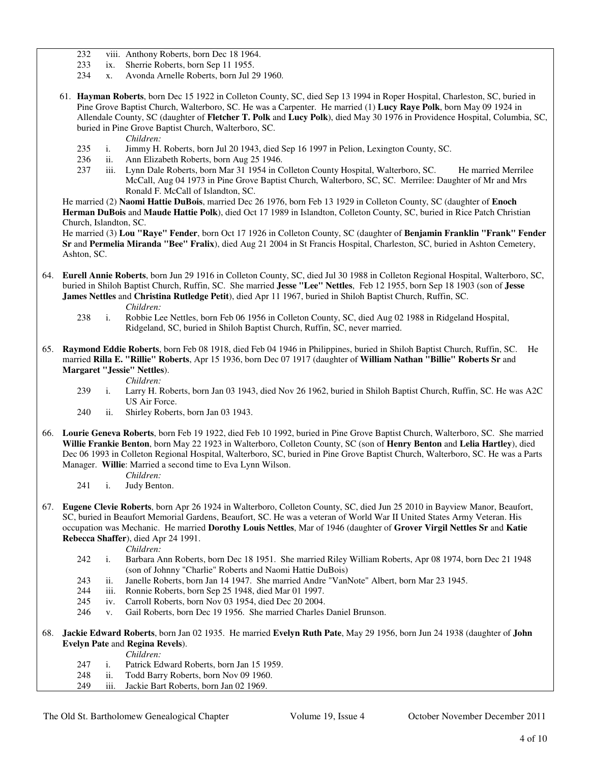- 232 viii. Anthony Roberts, born Dec 18 1964.<br>233 ix. Sherrie Roberts, born Sep 11 1955.
- 233 ix. Sherrie Roberts, born Sep 11 1955.<br>234 x. Avonda Arnelle Roberts, born Jul 2
- x. Avonda Arnelle Roberts, born Jul 29 1960.
- 61. **Hayman Roberts**, born Dec 15 1922 in Colleton County, SC, died Sep 13 1994 in Roper Hospital, Charleston, SC, buried in Pine Grove Baptist Church, Walterboro, SC. He was a Carpenter. He married (1) **Lucy Raye Polk**, born May 09 1924 in Allendale County, SC (daughter of **Fletcher T. Polk** and **Lucy Polk**), died May 30 1976 in Providence Hospital, Columbia, SC, buried in Pine Grove Baptist Church, Walterboro, SC.

*Children:*

- 235 i. Jimmy H. Roberts, born Jul 20 1943, died Sep 16 1997 in Pelion, Lexington County, SC.
- ii. Ann Elizabeth Roberts, born Aug 25 1946.
- 237 iii. Lynn Dale Roberts, born Mar 31 1954 in Colleton County Hospital, Walterboro, SC. He married Merrilee McCall, Aug 04 1973 in Pine Grove Baptist Church, Walterboro, SC, SC. Merrilee: Daughter of Mr and Mrs Ronald F. McCall of Islandton, SC.

 He married (2) **Naomi Hattie DuBois**, married Dec 26 1976, born Feb 13 1929 in Colleton County, SC (daughter of **Enoch Herman DuBois** and **Maude Hattie Polk**), died Oct 17 1989 in Islandton, Colleton County, SC, buried in Rice Patch Christian Church, Islandton, SC.

 He married (3) **Lou "Raye" Fender**, born Oct 17 1926 in Colleton County, SC (daughter of **Benjamin Franklin "Frank" Fender Sr** and **Permelia Miranda "Bee" Fralix**), died Aug 21 2004 in St Francis Hospital, Charleston, SC, buried in Ashton Cemetery, Ashton, SC.

- 64. **Eurell Annie Roberts**, born Jun 29 1916 in Colleton County, SC, died Jul 30 1988 in Colleton Regional Hospital, Walterboro, SC, buried in Shiloh Baptist Church, Ruffin, SC. She married **Jesse "Lee" Nettles**, Feb 12 1955, born Sep 18 1903 (son of **Jesse James Nettles** and **Christina Rutledge Petit**), died Apr 11 1967, buried in Shiloh Baptist Church, Ruffin, SC. *Children:*
	- 238 i. Robbie Lee Nettles, born Feb 06 1956 in Colleton County, SC, died Aug 02 1988 in Ridgeland Hospital, Ridgeland, SC, buried in Shiloh Baptist Church, Ruffin, SC, never married.
- 65. **Raymond Eddie Roberts**, born Feb 08 1918, died Feb 04 1946 in Philippines, buried in Shiloh Baptist Church, Ruffin, SC. He married **Rilla E. "Rillie" Roberts**, Apr 15 1936, born Dec 07 1917 (daughter of **William Nathan "Billie" Roberts Sr** and **Margaret "Jessie" Nettles**).
	- *Children:*
	- 239 i. Larry H. Roberts, born Jan 03 1943, died Nov 26 1962, buried in Shiloh Baptist Church, Ruffin, SC. He was A2C US Air Force.
	- 240 ii. Shirley Roberts, born Jan 03 1943.
- 66. **Lourie Geneva Roberts**, born Feb 19 1922, died Feb 10 1992, buried in Pine Grove Baptist Church, Walterboro, SC. She married **Willie Frankie Benton**, born May 22 1923 in Walterboro, Colleton County, SC (son of **Henry Benton** and **Lelia Hartley**), died Dec 06 1993 in Colleton Regional Hospital, Walterboro, SC, buried in Pine Grove Baptist Church, Walterboro, SC. He was a Parts Manager. **Willie**: Married a second time to Eva Lynn Wilson.
	- *Children:* 241 i. Judy Benton.
- 67. **Eugene Clevie Roberts**, born Apr 26 1924 in Walterboro, Colleton County, SC, died Jun 25 2010 in Bayview Manor, Beaufort, SC, buried in Beaufort Memorial Gardens, Beaufort, SC. He was a veteran of World War II United States Army Veteran. His occupation was Mechanic. He married **Dorothy Louis Nettles**, Mar of 1946 (daughter of **Grover Virgil Nettles Sr** and **Katie Rebecca Shaffer**), died Apr 24 1991.
	- *Children:*
	- 242 i. Barbara Ann Roberts, born Dec 18 1951. She married Riley William Roberts, Apr 08 1974, born Dec 21 1948 (son of Johnny "Charlie" Roberts and Naomi Hattie DuBois)
	- 243 ii. Janelle Roberts, born Jan 14 1947. She married Andre "VanNote" Albert, born Mar 23 1945.
	- 244 iii. Ronnie Roberts, born Sep 25 1948, died Mar 01 1997.
	- 245 iv. Carroll Roberts, born Nov 03 1954, died Dec 20 2004.
	- 246 v. Gail Roberts, born Dec 19 1956. She married Charles Daniel Brunson.

68. **Jackie Edward Roberts**, born Jan 02 1935. He married **Evelyn Ruth Pate**, May 29 1956, born Jun 24 1938 (daughter of **John Evelyn Pate** and **Regina Revels**).

*Children:*

- 247 i. Patrick Edward Roberts, born Jan 15 1959.<br>248 ii. Todd Barry Roberts, born Nov 09 1960.
- 248 ii. Todd Barry Roberts, born Nov 09 1960.<br>249 iii. Jackie Bart Roberts, born Jan 02 1969.
- iii. Jackie Bart Roberts, born Jan 02 1969.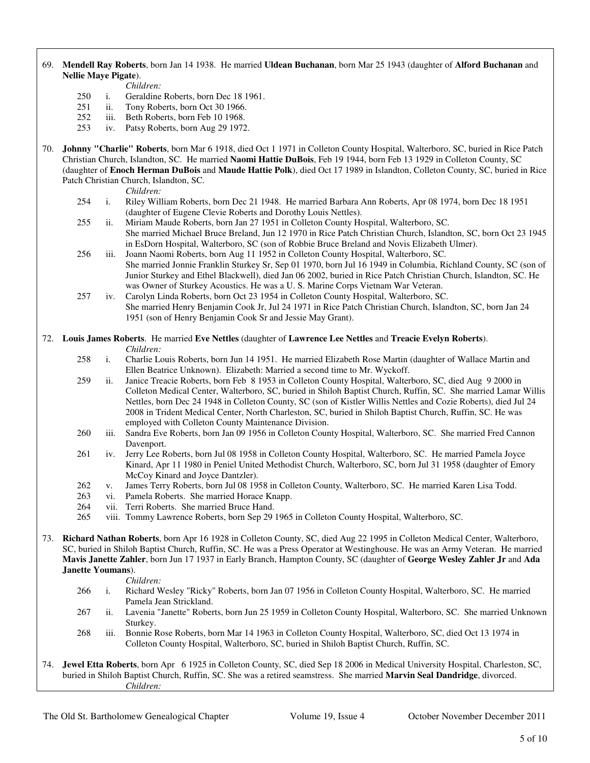#### 69. **Mendell Ray Roberts**, born Jan 14 1938. He married **Uldean Buchanan**, born Mar 25 1943 (daughter of **Alford Buchanan** and **Nellie Maye Pigate**).

*Children:*

- 250 i. Geraldine Roberts, born Dec 18 1961.
- 251 ii. Tony Roberts, born Oct 30 1966.
- 252 iii. Beth Roberts, born Feb 10 1968.<br>253 iv. Patsy Roberts, born Aug 29 1972
- iv. Patsy Roberts, born Aug 29 1972.
- 70. **Johnny "Charlie" Roberts**, born Mar 6 1918, died Oct 1 1971 in Colleton County Hospital, Walterboro, SC, buried in Rice Patch Christian Church, Islandton, SC. He married **Naomi Hattie DuBois**, Feb 19 1944, born Feb 13 1929 in Colleton County, SC (daughter of **Enoch Herman DuBois** and **Maude Hattie Polk**), died Oct 17 1989 in Islandton, Colleton County, SC, buried in Rice Patch Christian Church, Islandton, SC.

- *Children:*<br>254 i. Riley Wil 254 i. Riley William Roberts, born Dec 21 1948. He married Barbara Ann Roberts, Apr 08 1974, born Dec 18 1951 (daughter of Eugene Clevie Roberts and Dorothy Louis Nettles).
- 255 ii. Miriam Maude Roberts, born Jan 27 1951 in Colleton County Hospital, Walterboro, SC. She married Michael Bruce Breland, Jun 12 1970 in Rice Patch Christian Church, Islandton, SC, born Oct 23 1945 in EsDorn Hospital, Walterboro, SC (son of Robbie Bruce Breland and Novis Elizabeth Ulmer).
- 256 iii. Joann Naomi Roberts, born Aug 11 1952 in Colleton County Hospital, Walterboro, SC. She married Jonnie Franklin Sturkey Sr, Sep 01 1970, born Jul 16 1949 in Columbia, Richland County, SC (son of Junior Sturkey and Ethel Blackwell), died Jan 06 2002, buried in Rice Patch Christian Church, Islandton, SC. He was Owner of Sturkey Acoustics. He was a U. S. Marine Corps Vietnam War Veteran.
- 257 iv. Carolyn Linda Roberts, born Oct 23 1954 in Colleton County Hospital, Walterboro, SC. She married Henry Benjamin Cook Jr, Jul 24 1971 in Rice Patch Christian Church, Islandton, SC, born Jan 24 1951 (son of Henry Benjamin Cook Sr and Jessie May Grant).
- 72. **Louis James Roberts**. He married **Eve Nettles** (daughter of **Lawrence Lee Nettles** and **Treacie Evelyn Roberts**). *Children:*<br>258 i. Charlie Lo
	- i. Charlie Louis Roberts, born Jun 14 1951. He married Elizabeth Rose Martin (daughter of Wallace Martin and Ellen Beatrice Unknown). Elizabeth: Married a second time to Mr. Wyckoff.
	- 259 ii. Janice Treacie Roberts, born Feb 8 1953 in Colleton County Hospital, Walterboro, SC, died Aug 9 2000 in Colleton Medical Center, Walterboro, SC, buried in Shiloh Baptist Church, Ruffin, SC. She married Lamar Willis Nettles, born Dec 24 1948 in Colleton County, SC (son of Kistler Willis Nettles and Cozie Roberts), died Jul 24 2008 in Trident Medical Center, North Charleston, SC, buried in Shiloh Baptist Church, Ruffin, SC. He was employed with Colleton County Maintenance Division.
	- 260 iii. Sandra Eve Roberts, born Jan 09 1956 in Colleton County Hospital, Walterboro, SC. She married Fred Cannon Davenport.
	- 261 iv. Jerry Lee Roberts, born Jul 08 1958 in Colleton County Hospital, Walterboro, SC. He married Pamela Joyce Kinard, Apr 11 1980 in Peniel United Methodist Church, Walterboro, SC, born Jul 31 1958 (daughter of Emory McCoy Kinard and Joyce Dantzler).
	- 262 v. James Terry Roberts, born Jul 08 1958 in Colleton County, Walterboro, SC. He married Karen Lisa Todd.
	- 263 vi. Pamela Roberts. She married Horace Knapp.
	- 264 vii. Terri Roberts. She married Bruce Hand.
	- 265 viii. Tommy Lawrence Roberts, born Sep 29 1965 in Colleton County Hospital, Walterboro, SC.
- 73. **Richard Nathan Roberts**, born Apr 16 1928 in Colleton County, SC, died Aug 22 1995 in Colleton Medical Center, Walterboro, SC, buried in Shiloh Baptist Church, Ruffin, SC. He was a Press Operator at Westinghouse. He was an Army Veteran. He married **Mavis Janette Zahler**, born Jun 17 1937 in Early Branch, Hampton County, SC (daughter of **George Wesley Zahler Jr** and **Ada Janette Youmans**).

*Children:*

- 266 i. Richard Wesley "Ricky" Roberts, born Jan 07 1956 in Colleton County Hospital, Walterboro, SC. He married Pamela Jean Strickland.
- 267 ii. Lavenia "Janette" Roberts, born Jun 25 1959 in Colleton County Hospital, Walterboro, SC. She married Unknown Sturkey.
- 268 iii. Bonnie Rose Roberts, born Mar 14 1963 in Colleton County Hospital, Walterboro, SC, died Oct 13 1974 in Colleton County Hospital, Walterboro, SC, buried in Shiloh Baptist Church, Ruffin, SC.
- 74. **Jewel Etta Roberts**, born Apr 6 1925 in Colleton County, SC, died Sep 18 2006 in Medical University Hospital, Charleston, SC, buried in Shiloh Baptist Church, Ruffin, SC. She was a retired seamstress. She married **Marvin Seal Dandridge**, divorced. *Children:*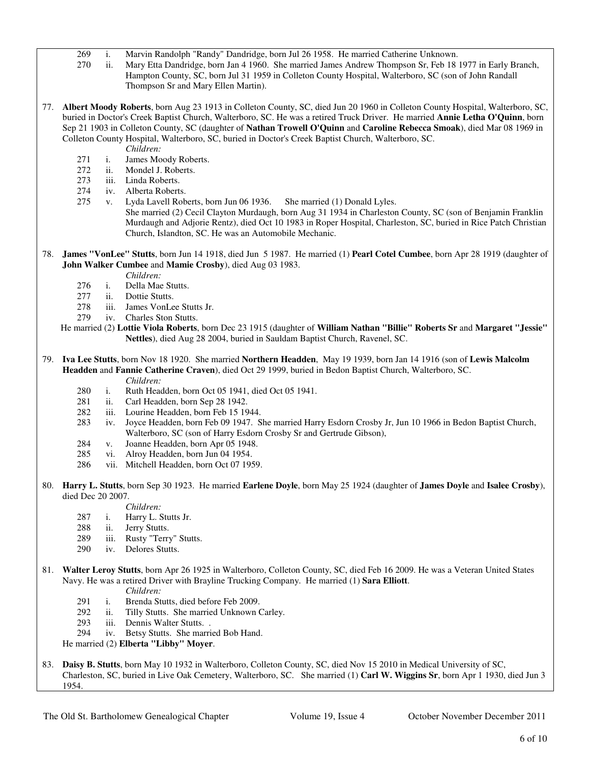- 269 i. Marvin Randolph "Randy" Dandridge, born Jul 26 1958. He married Catherine Unknown.
- ii. Mary Etta Dandridge, born Jan 4 1960. She married James Andrew Thompson Sr, Feb 18 1977 in Early Branch, Hampton County, SC, born Jul 31 1959 in Colleton County Hospital, Walterboro, SC (son of John Randall Thompson Sr and Mary Ellen Martin).
- 77. **Albert Moody Roberts**, born Aug 23 1913 in Colleton County, SC, died Jun 20 1960 in Colleton County Hospital, Walterboro, SC, buried in Doctor's Creek Baptist Church, Walterboro, SC. He was a retired Truck Driver. He married **Annie Letha O'Quinn**, born Sep 21 1903 in Colleton County, SC (daughter of **Nathan Trowell O'Quinn** and **Caroline Rebecca Smoak**), died Mar 08 1969 in Colleton County Hospital, Walterboro, SC, buried in Doctor's Creek Baptist Church, Walterboro, SC.
	- *Children:*
	- 271 i. James Moody Roberts.
	- 272 ii. Mondel J. Roberts.
	- 273 iii. Linda Roberts.
	- 274 iv. Alberta Roberts.
	- 275 v. Lyda Lavell Roberts, born Jun 06 1936. She married (1) Donald Lyles. She married (2) Cecil Clayton Murdaugh, born Aug 31 1934 in Charleston County, SC (son of Benjamin Franklin Murdaugh and Adjorie Rentz), died Oct 10 1983 in Roper Hospital, Charleston, SC, buried in Rice Patch Christian Church, Islandton, SC. He was an Automobile Mechanic.
- 78. **James "VonLee" Stutts**, born Jun 14 1918, died Jun 5 1987. He married (1) **Pearl Cotel Cumbee**, born Apr 28 1919 (daughter of **John Walker Cumbee** and **Mamie Crosby**), died Aug 03 1983.
	- *Children:*
	- 276 i. Della Mae Stutts.
	- 277 ii. Dottie Stutts.
	- 278 iii. James VonLee Stutts Jr.
	- 279 iv. Charles Ston Stutts.
	- He married (2) **Lottie Viola Roberts**, born Dec 23 1915 (daughter of **William Nathan "Billie" Roberts Sr** and **Margaret "Jessie" Nettles**), died Aug 28 2004, buried in Sauldam Baptist Church, Ravenel, SC.
- 79. **Iva Lee Stutts**, born Nov 18 1920. She married **Northern Headden**, May 19 1939, born Jan 14 1916 (son of **Lewis Malcolm Headden** and **Fannie Catherine Craven**), died Oct 29 1999, buried in Bedon Baptist Church, Walterboro, SC.
	- *Children:*
	- 280 i. Ruth Headden, born Oct 05 1941, died Oct 05 1941.
	- 281 ii. Carl Headden, born Sep 28 1942.
	- 282 iii. Lourine Headden, born Feb 15 1944.
	- 283 iv. Joyce Headden, born Feb 09 1947. She married Harry Esdorn Crosby Jr, Jun 10 1966 in Bedon Baptist Church, Walterboro, SC (son of Harry Esdorn Crosby Sr and Gertrude Gibson),
	- 284 v. Joanne Headden, born Apr 05 1948.
	- 285 vi. Alroy Headden, born Jun 04 1954.
	- 286 vii. Mitchell Headden, born Oct 07 1959.
- 80. **Harry L. Stutts**, born Sep 30 1923. He married **Earlene Doyle**, born May 25 1924 (daughter of **James Doyle** and **Isalee Crosby**), died Dec 20 2007.
	- *Children:*
	- 287 i. Harry L. Stutts Jr.
	- 288 ii. Jerry Stutts.
	- 289 iii. Rusty "Terry" Stutts.
	- 290 iv. Delores Stutts.
- 81. **Walter Leroy Stutts**, born Apr 26 1925 in Walterboro, Colleton County, SC, died Feb 16 2009. He was a Veteran United States Navy. He was a retired Driver with Brayline Trucking Company. He married (1) **Sara Elliott**.
	- *Children:*
	- 291 i. Brenda Stutts, died before Feb 2009.
	- 292 ii. Tilly Stutts. She married Unknown Carley.
	- 293 iii. Dennis Walter Stutts. .
	- 294 iv. Betsy Stutts. She married Bob Hand.
	- He married (2) **Elberta "Libby" Moyer**.
- 83. **Daisy B. Stutts**, born May 10 1932 in Walterboro, Colleton County, SC, died Nov 15 2010 in Medical University of SC, Charleston, SC, buried in Live Oak Cemetery, Walterboro, SC. She married (1) **Carl W. Wiggins Sr**, born Apr 1 1930, died Jun 3 1954.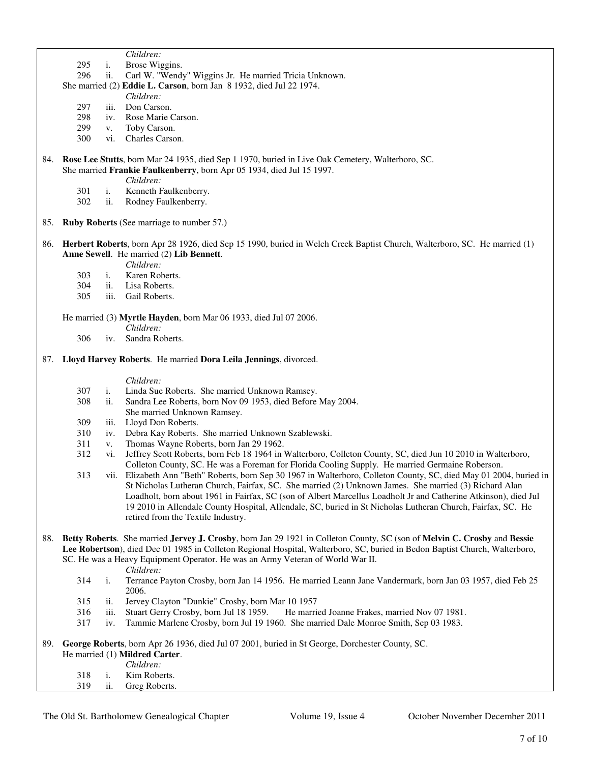| Children: |  |
|-----------|--|
|           |  |

- 295 i. Brose Wiggins.
- 296 ii. Carl W. "Wendy" Wiggins Jr. He married Tricia Unknown.
- She married (2) **Eddie L. Carson**, born Jan 8 1932, died Jul 22 1974.
	- *Children:*
	- 297 iii. Don Carson.
	- 298 iv. Rose Marie Carson.
	- 299 v. Toby Carson.<br>300 vi. Charles Carso
	- vi. Charles Carson.

84. **Rose Lee Stutts**, born Mar 24 1935, died Sep 1 1970, buried in Live Oak Cemetery, Walterboro, SC. She married **Frankie Faulkenberry**, born Apr 05 1934, died Jul 15 1997.

- *Children:*
- 301 i. Kenneth Faulkenberry.
- 302 ii. Rodney Faulkenberry.
- 85. **Ruby Roberts** (See marriage to number 57.)
- 86. **Herbert Roberts**, born Apr 28 1926, died Sep 15 1990, buried in Welch Creek Baptist Church, Walterboro, SC. He married (1) **Anne Sewell**. He married (2) **Lib Bennett**.
	- *Children:*<br>*i.* Karen Rol
	- 303 i. Karen Roberts.<br>304 ii. Lisa Roberts.
	- 304 ii. Lisa Roberts.<br>305 iii. Gail Roberts.
	- iii. Gail Roberts.
	- He married (3) **Myrtle Hayden**, born Mar 06 1933, died Jul 07 2006.
		- *Children:*
		- 306 iv. Sandra Roberts.
- 87. **Lloyd Harvey Roberts**. He married **Dora Leila Jennings**, divorced.

#### *Children:*

- 307 i. Linda Sue Roberts. She married Unknown Ramsey.
- 308 ii. Sandra Lee Roberts, born Nov 09 1953, died Before May 2004.
	- She married Unknown Ramsey.
- 309 iii. Lloyd Don Roberts.
- 310 iv. Debra Kay Roberts. She married Unknown Szablewski.
- 311 v. Thomas Wayne Roberts, born Jan 29 1962.
- 312 vi. Jeffrey Scott Roberts, born Feb 18 1964 in Walterboro, Colleton County, SC, died Jun 10 2010 in Walterboro, Colleton County, SC. He was a Foreman for Florida Cooling Supply. He married Germaine Roberson.
- 313 vii. Elizabeth Ann "Beth" Roberts, born Sep 30 1967 in Walterboro, Colleton County, SC, died May 01 2004, buried in St Nicholas Lutheran Church, Fairfax, SC. She married (2) Unknown James. She married (3) Richard Alan Loadholt, born about 1961 in Fairfax, SC (son of Albert Marcellus Loadholt Jr and Catherine Atkinson), died Jul 19 2010 in Allendale County Hospital, Allendale, SC, buried in St Nicholas Lutheran Church, Fairfax, SC. He retired from the Textile Industry.
- 88. **Betty Roberts**. She married **Jervey J. Crosby**, born Jan 29 1921 in Colleton County, SC (son of **Melvin C. Crosby** and **Bessie Lee Robertson**), died Dec 01 1985 in Colleton Regional Hospital, Walterboro, SC, buried in Bedon Baptist Church, Walterboro, SC. He was a Heavy Equipment Operator. He was an Army Veteran of World War II.
	- *Children:*
	- 314 i. Terrance Payton Crosby, born Jan 14 1956. He married Leann Jane Vandermark, born Jan 03 1957, died Feb 25 2006.
	- 315 ii. Jervey Clayton "Dunkie" Crosby, born Mar 10 1957
	- 316 iii. Stuart Gerry Crosby, born Jul 18 1959. He married Joanne Frakes, married Nov 07 1981.
	- 317 iv. Tammie Marlene Crosby, born Jul 19 1960. She married Dale Monroe Smith, Sep 03 1983.

89. **George Roberts**, born Apr 26 1936, died Jul 07 2001, buried in St George, Dorchester County, SC. He married (1) **Mildred Carter**.

 *Children:* 318 i. Kim Roberts. 319 ii. Greg Roberts.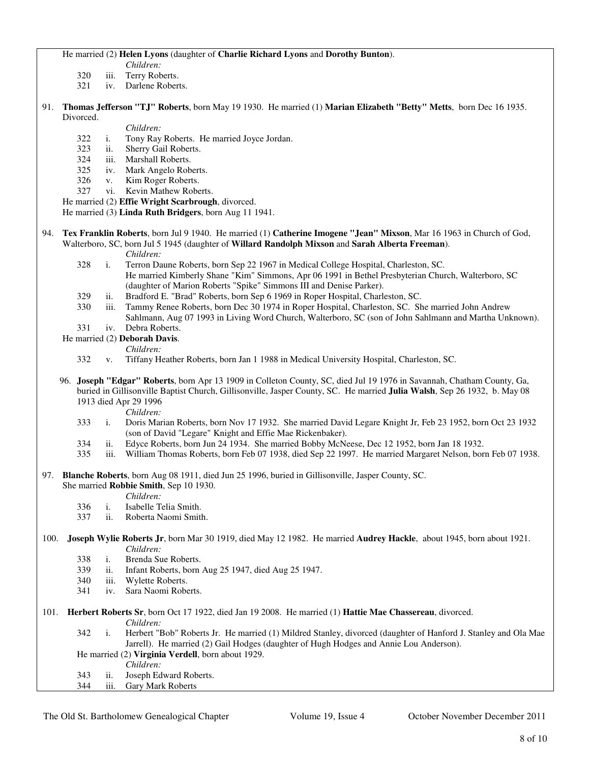#### He married (2) **Helen Lyons** (daughter of **Charlie Richard Lyons** and **Dorothy Bunton**).

*Children:*

- 320 iii. Terry Roberts.
- 321 iv. Darlene Roberts.
- 91. **Thomas Jefferson "TJ" Roberts**, born May 19 1930. He married (1) **Marian Elizabeth "Betty" Metts**, born Dec 16 1935. Divorced.

- *Children:*<br>322 i. Tony Ray 322 i. Tony Ray Roberts. He married Joyce Jordan.<br>323 ii. Sherry Gail Roberts.
- ii. Sherry Gail Roberts.
- 324 iii. Marshall Roberts.
- 325 iv. Mark Angelo Roberts.
- 326 v. Kim Roger Roberts.
- 327 vi. Kevin Mathew Roberts.

He married (2) **Effie Wright Scarbrough**, divorced.

He married (3) **Linda Ruth Bridgers**, born Aug 11 1941.

- 94. **Tex Franklin Roberts**, born Jul 9 1940. He married (1) **Catherine Imogene "Jean" Mixson**, Mar 16 1963 in Church of God, Walterboro, SC, born Jul 5 1945 (daughter of **Willard Randolph Mixson** and **Sarah Alberta Freeman**).
	- *Children:*
	- 328 i. Terron Daune Roberts, born Sep 22 1967 in Medical College Hospital, Charleston, SC. He married Kimberly Shane "Kim" Simmons, Apr 06 1991 in Bethel Presbyterian Church, Walterboro, SC (daughter of Marion Roberts "Spike" Simmons III and Denise Parker).
	- 329 ii. Bradford E. "Brad" Roberts, born Sep 6 1969 in Roper Hospital, Charleston, SC.
	- 330 iii. Tammy Renee Roberts, born Dec 30 1974 in Roper Hospital, Charleston, SC. She married John Andrew
	- Sahlmann, Aug 07 1993 in Living Word Church, Walterboro, SC (son of John Sahlmann and Martha Unknown).
	- 331 iv. Debra Roberts.

He married (2) **Deborah Davis**.

- 
- *Children:*<br>332 v. Tiffany He v. Tiffany Heather Roberts, born Jan 1 1988 in Medical University Hospital, Charleston, SC.
- 96. **Joseph "Edgar" Roberts**, born Apr 13 1909 in Colleton County, SC, died Jul 19 1976 in Savannah, Chatham County, Ga, buried in Gillisonville Baptist Church, Gillisonville, Jasper County, SC. He married **Julia Walsh**, Sep 26 1932, b. May 08 1913 died Apr 29 1996

*Children:*

- 333 i. Doris Marian Roberts, born Nov 17 1932. She married David Legare Knight Jr, Feb 23 1952, born Oct 23 1932 (son of David "Legare" Knight and Effie Mae Rickenbaker).
- 334 ii. Edyce Roberts, born Jun 24 1934. She married Bobby McNeese, Dec 12 1952, born Jan 18 1932.
- 335 iii. William Thomas Roberts, born Feb 07 1938, died Sep 22 1997. He married Margaret Nelson, born Feb 07 1938.

97. **Blanche Roberts**, born Aug 08 1911, died Jun 25 1996, buried in Gillisonville, Jasper County, SC.

She married **Robbie Smith**, Sep 10 1930.

*Children:*

- 336 i. Isabelle Telia Smith.
- 337 ii. Roberta Naomi Smith.
- 100. **Joseph Wylie Roberts Jr**, born Mar 30 1919, died May 12 1982. He married **Audrey Hackle**, about 1945, born about 1921. *Children:*
	- 338 i. Brenda Sue Roberts.
	- 339 ii. Infant Roberts, born Aug 25 1947, died Aug 25 1947.
	- 340 iii. Wylette Roberts.
	- 341 iv. Sara Naomi Roberts.
- 101. **Herbert Roberts Sr**, born Oct 17 1922, died Jan 19 2008. He married (1) **Hattie Mae Chassereau**, divorced.
	- *Children:*
	- 342 i. Herbert "Bob" Roberts Jr. He married (1) Mildred Stanley, divorced (daughter of Hanford J. Stanley and Ola Mae Jarrell). He married (2) Gail Hodges (daughter of Hugh Hodges and Annie Lou Anderson). He married (2) **Virginia Verdell**, born about 1929.
	-
	- *Children:*<br>343 ii. Joseph Ed 343 ii. Joseph Edward Roberts.<br>344 iii. Gary Mark Roberts
	- iii. Gary Mark Roberts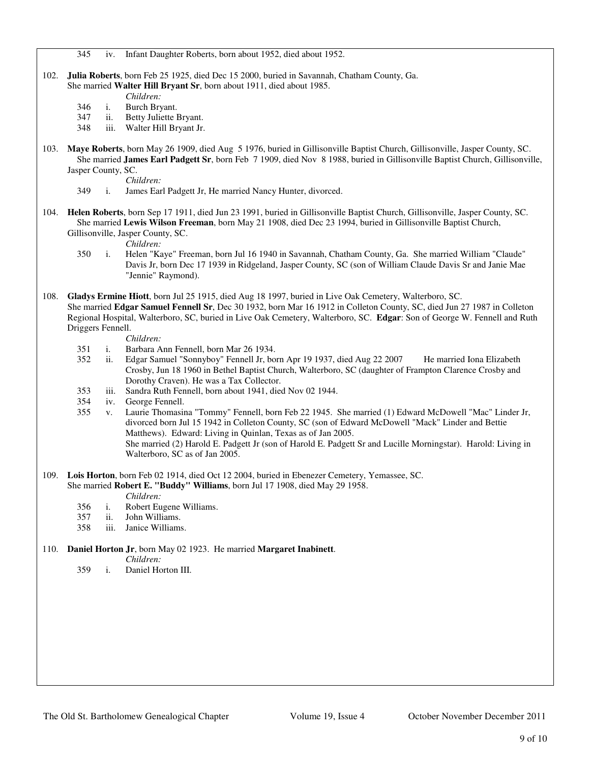345 iv. Infant Daughter Roberts, born about 1952, died about 1952.

- 102. **Julia Roberts**, born Feb 25 1925, died Dec 15 2000, buried in Savannah, Chatham County, Ga. She married **Walter Hill Bryant Sr**, born about 1911, died about 1985.
	- *Children:*
	- 346 i. Burch Bryant.
	- 347 ii. Betty Juliette Bryant.
	- 348 iii. Walter Hill Bryant Jr.
- 103. **Maye Roberts**, born May 26 1909, died Aug 5 1976, buried in Gillisonville Baptist Church, Gillisonville, Jasper County, SC. She married **James Earl Padgett Sr**, born Feb 7 1909, died Nov 8 1988, buried in Gillisonville Baptist Church, Gillisonville, Jasper County, SC.

*Children:*

- 349 i. James Earl Padgett Jr, He married Nancy Hunter, divorced.
- 104. **Helen Roberts**, born Sep 17 1911, died Jun 23 1991, buried in Gillisonville Baptist Church, Gillisonville, Jasper County, SC. She married **Lewis Wilson Freeman**, born May 21 1908, died Dec 23 1994, buried in Gillisonville Baptist Church, Gillisonville, Jasper County, SC.

- *Children:*
- 350 i. Helen "Kaye" Freeman, born Jul 16 1940 in Savannah, Chatham County, Ga. She married William "Claude" Davis Jr, born Dec 17 1939 in Ridgeland, Jasper County, SC (son of William Claude Davis Sr and Janie Mae "Jennie" Raymond).
- 108. **Gladys Ermine Hiott**, born Jul 25 1915, died Aug 18 1997, buried in Live Oak Cemetery, Walterboro, SC. She married **Edgar Samuel Fennell Sr**, Dec 30 1932, born Mar 16 1912 in Colleton County, SC, died Jun 27 1987 in Colleton Regional Hospital, Walterboro, SC, buried in Live Oak Cemetery, Walterboro, SC. **Edgar**: Son of George W. Fennell and Ruth Driggers Fennell.

*Children:*

- 351 i. Barbara Ann Fennell, born Mar 26 1934.
- ii. Edgar Samuel "Sonnyboy" Fennell Jr, born Apr 19 1937, died Aug 22 2007 He married Iona Elizabeth Crosby, Jun 18 1960 in Bethel Baptist Church, Walterboro, SC (daughter of Frampton Clarence Crosby and Dorothy Craven). He was a Tax Collector.
- 353 iii. Sandra Ruth Fennell, born about 1941, died Nov 02 1944.
- 354 iv. George Fennell.
- 355 v. Laurie Thomasina "Tommy" Fennell, born Feb 22 1945. She married (1) Edward McDowell "Mac" Linder Jr, divorced born Jul 15 1942 in Colleton County, SC (son of Edward McDowell "Mack" Linder and Bettie Matthews). Edward: Living in Quinlan, Texas as of Jan 2005. She married (2) Harold E. Padgett Jr (son of Harold E. Padgett Sr and Lucille Morningstar). Harold: Living in Walterboro, SC as of Jan 2005.
- 109. **Lois Horton**, born Feb 02 1914, died Oct 12 2004, buried in Ebenezer Cemetery, Yemassee, SC.

She married **Robert E. "Buddy" Williams**, born Jul 17 1908, died May 29 1958.

*Children:*

- 356 i. Robert Eugene Williams.
- 357 ii. John Williams.
- 358 iii. Janice Williams.
- 110. **Daniel Horton Jr**, born May 02 1923. He married **Margaret Inabinett**.

*Children:*

359 i. Daniel Horton III.